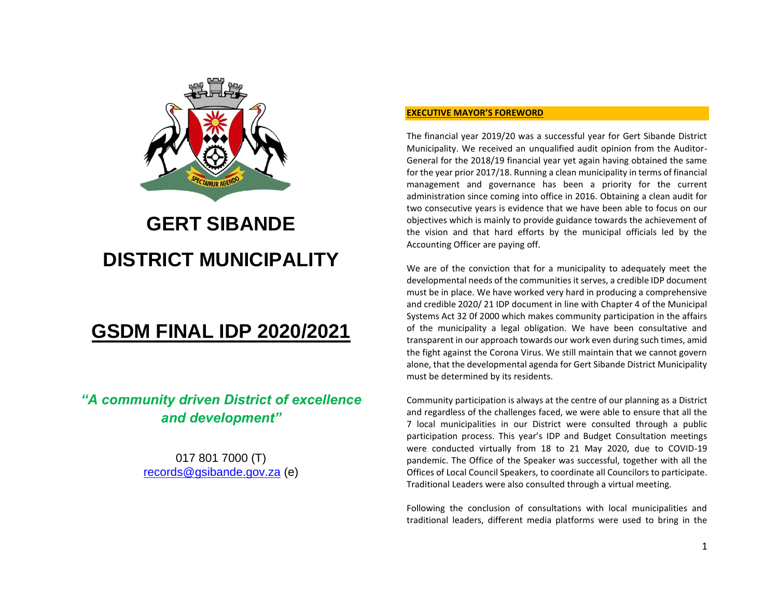

# **GERT SIBANDE DISTRICT MUNICIPALITY**

## **GSDM FINAL IDP 2020/2021**

### *"A community driven District of excellence and development"*

017 801 7000 (T) [records@gsibande.gov.za](mailto:records@gsibande.gov.za) (e)

#### **EXECUTIVE MAYOR'S FOREWORD**

The financial year 2019/20 was a successful year for Gert Sibande District Municipality. We received an unqualified audit opinion from the Auditor-General for the 2018/19 financial year yet again having obtained the same for the year prior 2017/18. Running a clean municipality in terms of financial management and governance has been a priority for the current administration since coming into office in 2016. Obtaining a clean audit for two consecutive years is evidence that we have been able to focus on our objectives which is mainly to provide guidance towards the achievement of the vision and that hard efforts by the municipal officials led by the Accounting Officer are paying off.

We are of the conviction that for a municipality to adequately meet the developmental needs of the communities it serves, a credible IDP document must be in place. We have worked very hard in producing a comprehensive and credible 2020/ 21 IDP document in line with Chapter 4 of the Municipal Systems Act 32 0f 2000 which makes community participation in the affairs of the municipality a legal obligation. We have been consultative and transparent in our approach towards our work even during such times, amid the fight against the Corona Virus. We still maintain that we cannot govern alone, that the developmental agenda for Gert Sibande District Municipality must be determined by its residents.

Community participation is always at the centre of our planning as a District and regardless of the challenges faced, we were able to ensure that all the 7 local municipalities in our District were consulted through a public participation process. This year's IDP and Budget Consultation meetings were conducted virtually from 18 to 21 May 2020, due to COVID-19 pandemic. The Office of the Speaker was successful, together with all the Offices of Local Council Speakers, to coordinate all Councilors to participate. Traditional Leaders were also consulted through a virtual meeting.

Following the conclusion of consultations with local municipalities and traditional leaders, different media platforms were used to bring in the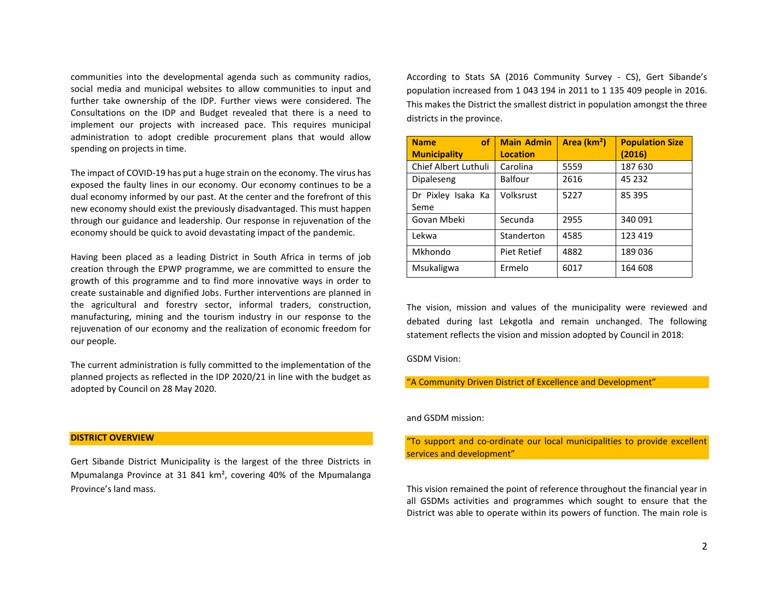communities into the developmental agenda such as community radios, social media and municipal websites to allow communities to input and further take ownership of the IDP. Further views were considered. The Consultations on the IDP and Budget revealed that there is a need to implement our projects with increased pace. This requires municipal administration to adopt credible procurement plans that would allow spending on projects in time.

The impact of COVID-19 has put a huge strain on the economy. The virus has exposed the faulty lines in our economy. Our economy continues to be a dual economy informed by our past. At the center and the forefront of this new economy should exist the previously disadvantaged. This must happen through our guidance and leadership. Our response in rejuvenation of the economy should be quick to avoid devastating impact of the pandemic.

Having been placed as a leading District in South Africa in terms of job creation through the EPWP programme, we are committed to ensure the growth of this programme and to find more innovative ways in order to create sustainable and dignified Jobs. Further interventions are planned in the agricultural and forestry sector, informal traders, construction, manufacturing, mining and the tourism industry in our response to the rejuvenation of our economy and the realization of economic freedom for our people.

The current administration is fully committed to the implementation of the planned projects as reflected in the IDP 2020/21 in line with the budget as adopted by Council on 28 May 2020.

**DISTRICT OVERVIEW**

Gert Sibande District Municipality is the largest of the three Districts in Mpumalanga Province at 31 841 km², covering 40% of the Mpumalanga Province's land mass.

According to Stats SA (2016 Community Survey - CS), Gert Sibande's population increased from 1 043 194 in 2011 to 1 135 409 people in 2016. This makes the District the smallest district in population amongst the three districts in the province.

| <b>of</b><br><b>Name</b>    | <b>Main Admin</b> | Area (km <sup>2</sup> ) | <b>Population Size</b> |
|-----------------------------|-------------------|-------------------------|------------------------|
| <b>Municipality</b>         | <b>Location</b>   |                         | (2016)                 |
| <b>Chief Albert Luthuli</b> | Carolina          | 5559                    | 187 630                |
| Dipaleseng                  | <b>Balfour</b>    | 2616                    | 45 232                 |
| Dr Pixley Isaka Ka          | Volksrust         | 5227                    | 85 395                 |
| Seme                        |                   |                         |                        |
| Govan Mbeki                 | Secunda           | 2955                    | 340 091                |
| Lekwa                       | Standerton        | 4585                    | 123 419                |
| Mkhondo                     | Piet Retief       | 4882                    | 189036                 |
| Msukaligwa                  | Ermelo            | 6017                    | 164 608                |

The vision, mission and values of the municipality were reviewed and debated during last Lekgotla and remain unchanged. The following statement reflects the vision and mission adopted by Council in 2018:

GSDM Vision:

"A Community Driven District of Excellence and Development"

#### and GSDM mission:

"To support and co-ordinate our local municipalities to provide excellent services and development"

This vision remained the point of reference throughout the financial year in all GSDMs activities and programmes which sought to ensure that the District was able to operate within its powers of function. The main role is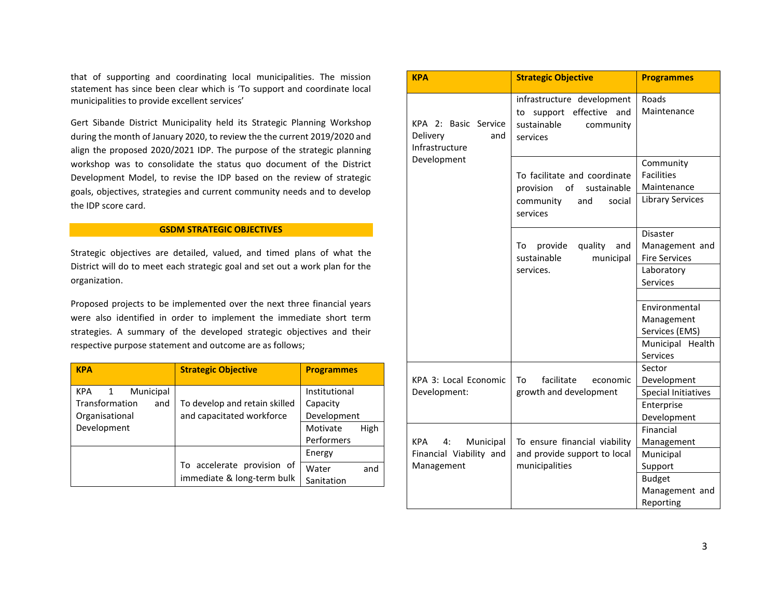that of supporting and coordinating local municipalities. The mission statement has since been clear which is 'To support and coordinate local municipalities to provide excellent services'

Gert Sibande District Municipality held its Strategic Planning Workshop during the month of January 2020, to review the the current 2019/2020 and align the proposed 2020/2021 IDP. The purpose of the strategic planning workshop was to consolidate the status quo document of the District Development Model, to revise the IDP based on the review of strategic goals, objectives, strategies and current community needs and to develop the IDP score card.

#### **GSDM STRATEGIC OBJECTIVES**

Strategic objectives are detailed, valued, and timed plans of what the District will do to meet each strategic goal and set out a work plan for the organization.

Proposed projects to be implemented over the next three financial years were also identified in order to implement the immediate short term strategies. A summary of the developed strategic objectives and their respective purpose statement and outcome are as follows;

| <b>KPA</b>                              | <b>Strategic Objective</b>                                 | <b>Programmes</b>              |
|-----------------------------------------|------------------------------------------------------------|--------------------------------|
| KPA 1<br>Municipal                      |                                                            | Institutional                  |
| Transformation<br>and<br>Organisational | To develop and retain skilled<br>and capacitated workforce | Capacity<br>Development        |
| Development                             |                                                            | Motivate<br>High<br>Performers |
|                                         |                                                            | Energy                         |
|                                         | To accelerate provision of<br>immediate & long-term bulk   | Water<br>and<br>Sanitation     |

| <b>KPA</b>                                                | <b>Strategic Objective</b>                                                                              | <b>Programmes</b>                                  |
|-----------------------------------------------------------|---------------------------------------------------------------------------------------------------------|----------------------------------------------------|
| KPA 2: Basic Service<br>Delivery<br>and<br>Infrastructure | infrastructure development<br>effective<br>and<br>support<br>to<br>sustainable<br>community<br>services | Roads<br>Maintenance                               |
| Development                                               | To facilitate and coordinate<br>of<br>provision<br>sustainable                                          | Community<br><b>Facilities</b><br>Maintenance      |
|                                                           | community<br>and<br>social<br>services                                                                  | <b>Library Services</b>                            |
|                                                           | provide<br>quality<br>To<br>and<br>sustainable<br>municipal                                             | Disaster<br>Management and<br><b>Fire Services</b> |
|                                                           | services.                                                                                               | Laboratory<br><b>Services</b>                      |
|                                                           |                                                                                                         |                                                    |
|                                                           |                                                                                                         | Environmental                                      |
|                                                           |                                                                                                         | Management                                         |
|                                                           |                                                                                                         | Services (EMS)                                     |
|                                                           |                                                                                                         | Municipal Health                                   |
|                                                           |                                                                                                         | Services                                           |
|                                                           |                                                                                                         | Sector                                             |
| KPA 3: Local Economic                                     | facilitate<br>To<br>economic                                                                            | Development                                        |
| Development:                                              | growth and development                                                                                  | <b>Special Initiatives</b>                         |
|                                                           |                                                                                                         | Enterprise                                         |
|                                                           |                                                                                                         | Development                                        |
|                                                           |                                                                                                         | Financial                                          |
| KPA<br>4:<br>Municipal                                    | To ensure financial viability                                                                           | Management                                         |
| Financial Viability and                                   | and provide support to local                                                                            | Municipal                                          |
| Management                                                | municipalities                                                                                          | Support                                            |
|                                                           |                                                                                                         | <b>Budget</b>                                      |
|                                                           |                                                                                                         | Management and                                     |
|                                                           |                                                                                                         | Reporting                                          |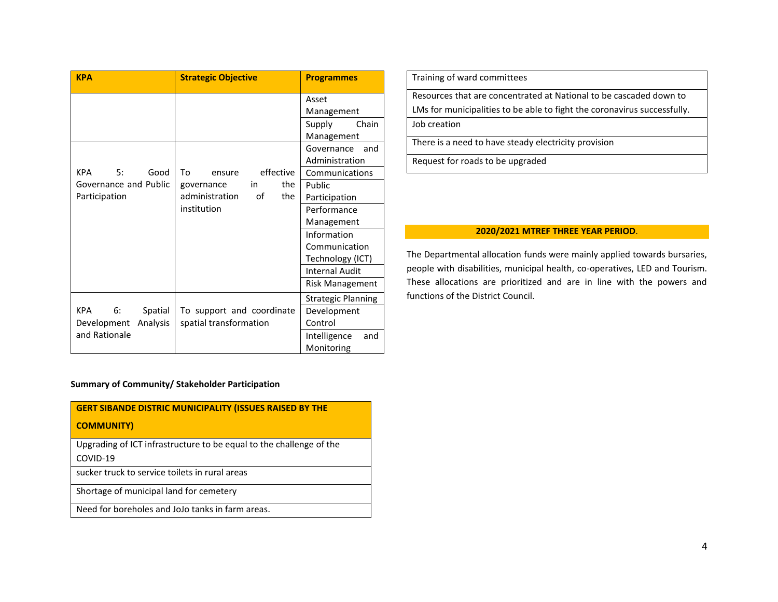| <b>KPA</b>                  | <b>Strategic Objective</b>  | <b>Programmes</b>                 |
|-----------------------------|-----------------------------|-----------------------------------|
|                             |                             | Asset<br>Management               |
|                             |                             | Supply<br>Chain                   |
|                             |                             | Management                        |
|                             |                             | Governance<br>and                 |
|                             |                             | Administration                    |
| <b>KPA</b><br>5:<br>Good    | effective<br>Tο<br>ensure   | Communications                    |
| Governance and Public       | the<br>in<br>governance     | Public                            |
| Participation               | administration<br>of<br>the | Participation                     |
|                             | institution                 | Performance                       |
|                             |                             | Management                        |
|                             |                             | Information                       |
|                             |                             | Communication                     |
|                             |                             | Technology (ICT)                  |
|                             |                             | <b>Internal Audit</b>             |
|                             |                             | <b>Risk Management</b>            |
|                             |                             | <b>Strategic Planning</b>         |
| <b>KPA</b><br>6:<br>Spatial | To support and coordinate   | Development                       |
| Analysis<br>Development     | spatial transformation      | Control                           |
| and Rationale               |                             | Intelligence<br>and<br>Monitoring |

Training of ward committees

Resources that are concentrated at National to be cascaded down to LMs for municipalities to be able to fight the coronavirus successfully.

Job creation

There is a need to have steady electricity provision

Request for roads to be upgraded

#### **2020/2021 MTREF THREE YEAR PERIOD**.

The Departmental allocation funds were mainly applied towards bursaries, people with disabilities, municipal health, co-operatives, LED and Tourism. These allocations are prioritized and are in line with the powers and functions of the District Council.

#### **Summary of Community/ Stakeholder Participation**

| <b>GERT SIBANDE DISTRIC MUNICIPALITY (ISSUES RAISED BY THE</b>                  |
|---------------------------------------------------------------------------------|
| <b>COMMUNITY)</b>                                                               |
| Upgrading of ICT infrastructure to be equal to the challenge of the<br>COVID-19 |
| sucker truck to service toilets in rural areas                                  |
| Shortage of municipal land for cemetery                                         |
| Need for boreholes and JoJo tanks in farm areas.                                |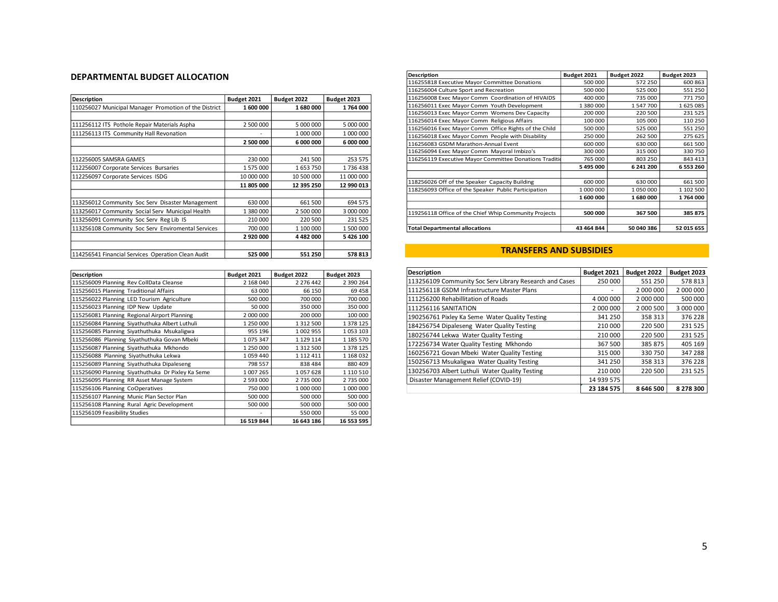#### **DEPARTMENTAL BUDGET ALLOCATION**

| <b>Description</b>                                    | Budget 2021 | Budget 2022   | Budget 2023 |
|-------------------------------------------------------|-------------|---------------|-------------|
| 110256027 Municipal Manager Promotion of the District | 1600000     | 1680000       | 1764000     |
|                                                       |             |               |             |
| 111256112 ITS Pothole Repair Materials Aspha          | 2 500 000   | 5 000 000     | 5 000 000   |
| 111256113 ITS Community Hall Revonation               |             | 1 000 000     | 1 000 000   |
|                                                       | 2 500 000   | 6 000 000     | 6 000 000   |
|                                                       |             |               |             |
| 112256005 SAMSRA GAMES                                | 230 000     | 241 500       | 253 575     |
| 112256007 Corporate Services Bursaries                | 1575000     | 1653750       | 1736438     |
| 112256097 Corporate Services ISDG                     | 10 000 000  | 10 500 000    | 11 000 000  |
|                                                       | 11 805 000  | 12 395 250    | 12 990 013  |
|                                                       |             |               |             |
| 113256012 Community Soc Serv Disaster Management      | 630 000     | 661 500       | 694 575     |
| 113256017 Community Social Serv Municipal Health      | 1 380 000   | 2 500 000     | 3 000 000   |
| 113256091 Community Soc Serv Reg Lib IS               | 210 000     | 220 500       | 231 525     |
| 113256108 Community Soc Serv Enviromental Services    | 700 000     | 1 100 000     | 1 500 000   |
|                                                       | 2920000     | 4 4 8 2 0 0 0 | 5426100     |
|                                                       |             |               |             |
| 114256541 Financial Services Operation Clean Audit    | 525 000     | 551 250       | 578 813     |

| <b>Description</b>                                | Budget 2021 | Budget 2022   | Budget 2023 |
|---------------------------------------------------|-------------|---------------|-------------|
| 115256009 Planning Rev CollData Cleanse           | 2 168 040   | 2 276 442     | 2 390 264   |
| 115256015 Planning Traditional Affairs            | 63 000      | 66 150        | 69 458      |
| 115256022 Planning LED Tourism Agriculture        | 500 000     | 700 000       | 700 000     |
| 115256023 Planning IDP New Update                 | 50 000      | 350 000       | 350 000     |
| 115256081 Planning Regional Airport Planning      | 2 000 000   | 200 000       | 100 000     |
| 115256084 Planning Siyathuthuka Albert Luthuli    | 1 250 000   | 1 3 1 2 5 0 0 | 1 378 125   |
| 115256085 Planning Siyathuthuka Msukaligwa        | 955 196     | 1002955       | 1053103     |
| 115256086 Planning Siyathuthuka Govan Mbeki       | 1075347     | 1 1 2 9 1 1 4 | 1 185 570   |
| 115256087 Planning Siyathuthuka Mkhondo           | 1 250 000   | 1 3 1 2 5 0 0 | 1 378 125   |
| 115256088 Planning Siyathuthuka Lekwa             | 1059440     | 1 1 1 2 4 1 1 | 1 168 032   |
| 115256089 Planning Siyathuthuka Dipaleseng        | 798 557     | 838 484       | 880 409     |
| 115256090 Planning Siyathuthuka Dr Pixley Ka Seme | 1 007 265   | 1057628       | 1 110 510   |
| 115256095 Planning RR Asset Manage System         | 2 593 000   | 2735000       | 2735000     |
| 115256106 Planning CoOperatives                   | 750 000     | 1 000 000     | 1 000 000   |
| 115256107 Planning Munic Plan Sector Plan         | 500 000     | 500 000       | 500 000     |
| 115256108 Planning Rural Agric Development        | 500 000     | 500 000       | 500 000     |
| 115256109 Feasibility Studies                     |             | 550 000       | 55 000      |
|                                                   | 16 519 844  | 16 643 186    | 16 553 595  |

| <b>Description</b>                                      | Budget 2021 | Budget 2022 | Budget 2023 |
|---------------------------------------------------------|-------------|-------------|-------------|
| 116255818 Executive Mayor Committee Donations           | 500 000     | 572 250     | 600 863     |
| 116256004 Culture Sport and Recreation                  | 500 000     | 525 000     | 551 250     |
| 116256008 Exec Mayor Comm Coordination of HIVAIDS       | 400 000     | 735 000     | 771750      |
| 116256011 Exec Mayor Comm Youth Development             | 1 380 000   | 1547700     | 1625085     |
| 116256013 Exec Mayor Comm Womens Dev Capacity           | 200 000     | 220 500     | 231 525     |
| 116256014 Exec Mayor Comm Religious Affairs             | 100 000     | 105 000     | 110 250     |
| 116256016 Exec Mayor Comm Office Rights of the Child    | 500 000     | 525 000     | 551 250     |
| 116256018 Exec Mayor Comm People with Disability        | 250 000     | 262 500     | 275 625     |
| 116256083 GSDM Marathon-Annual Event                    | 600 000     | 630 000     | 661 500     |
| 116256094 Exec Mayor Comm Mayoral Imbizo's              | 300 000     | 315 000     | 330 750     |
| 116256119 Executive Mayor Committee Donations Tradition | 765 000     | 803 250     | 843 413     |
|                                                         | 5 495 000   | 6 241 200   | 6 553 260   |
|                                                         |             |             |             |
| 118256026 Off of the Speaker Capacity Building          | 600 000     | 630 000     | 661 500     |
| 118256093 Office of the Speaker Public Participation    | 1 000 000   | 1050000     | 1 102 500   |
|                                                         | 1 600 000   | 1680000     | 1764000     |
|                                                         |             |             |             |
| 119256118 Office of the Chief Whip Community Projects   | 500 000     | 367 500     | 385 875     |
|                                                         |             |             |             |
| <b>Total Departmental allocations</b>                   | 43 464 844  | 50 040 386  | 52 015 655  |

#### **TRANSFERS AND SUBSIDIES**

| <b>Description</b>                                      | Budget 2021 | Budget 2022 | Budget 2023 |
|---------------------------------------------------------|-------------|-------------|-------------|
| 113256109 Community Soc Serv Library Research and Cases | 250 000     | 551 250     | 578 813     |
| 111256118 GSDM Infrastructure Master Plans              |             | 2 000 000   | 2 000 000   |
| 111256200 Rehabillitation of Roads                      | 4 000 000   | 2 000 000   | 500 000     |
| <b>111256116 SANITATION</b>                             | 2 000 000   | 2 000 500   | 3 000 000   |
| 190256761 Pixley Ka Seme Water Quality Testing          | 341 250     | 358 313     | 376 228     |
| 184256754 Dipaleseng Water Quality Testing              | 210 000     | 220 500     | 231 525     |
| 180256744 Lekwa Water Quality Testing                   | 210 000     | 220 500     | 231 525     |
| 172256734 Water Quality Testing Mkhondo                 | 367 500     | 385 875     | 405 169     |
| 160256721 Govan Mbeki Water Quality Testing             | 315 000     | 330 750     | 347 288     |
| 150256713 Msukaligwa Water Quality Testing              | 341 250     | 358 313     | 376 228     |
| 130256703 Albert Luthuli Water Quality Testing          | 210 000     | 220 500     | 231 525     |
| Disaster Management Relief (COVID-19)                   | 14 939 575  |             |             |
|                                                         | 23 184 575  | 8 646 500   | 8 278 300   |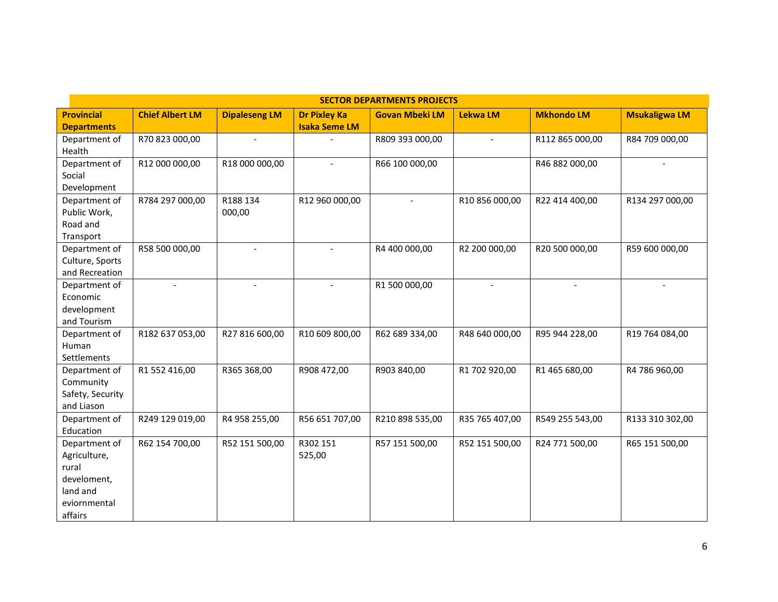| <b>SECTOR DEPARTMENTS PROJECTS</b> |                        |                          |                      |                       |                 |                   |                          |  |  |
|------------------------------------|------------------------|--------------------------|----------------------|-----------------------|-----------------|-------------------|--------------------------|--|--|
| <b>Provincial</b>                  | <b>Chief Albert LM</b> | <b>Dipaleseng LM</b>     | <b>Dr Pixley Ka</b>  | <b>Govan Mbeki LM</b> | <b>Lekwa LM</b> | <b>Mkhondo LM</b> | <b>Msukaligwa LM</b>     |  |  |
| <b>Departments</b>                 |                        |                          | <b>Isaka Seme LM</b> |                       |                 |                   |                          |  |  |
| Department of                      | R70 823 000,00         | $\overline{a}$           |                      | R809 393 000,00       |                 | R112 865 000,00   | R84 709 000,00           |  |  |
| Health                             |                        |                          |                      |                       |                 |                   |                          |  |  |
| Department of                      | R12 000 000,00         | R18 000 000,00           | $\blacksquare$       | R66 100 000,00        |                 | R46 882 000,00    | $\overline{\phantom{a}}$ |  |  |
| Social                             |                        |                          |                      |                       |                 |                   |                          |  |  |
| Development                        |                        |                          |                      |                       |                 |                   |                          |  |  |
| Department of                      | R784 297 000,00        | R188 134                 | R12 960 000,00       | $\blacksquare$        | R10 856 000,00  | R22 414 400,00    | R134 297 000,00          |  |  |
| Public Work,                       |                        | 000,00                   |                      |                       |                 |                   |                          |  |  |
| Road and                           |                        |                          |                      |                       |                 |                   |                          |  |  |
| Transport                          |                        |                          |                      |                       |                 |                   |                          |  |  |
| Department of                      | R58 500 000,00         | $\overline{\phantom{a}}$ | $\blacksquare$       | R4 400 000,00         | R2 200 000,00   | R20 500 000,00    | R59 600 000,00           |  |  |
| Culture, Sports                    |                        |                          |                      |                       |                 |                   |                          |  |  |
| and Recreation                     |                        |                          |                      |                       |                 |                   |                          |  |  |
| Department of                      | $\overline{a}$         | $\overline{a}$           | $\overline{a}$       | R1 500 000,00         |                 |                   |                          |  |  |
| Economic                           |                        |                          |                      |                       |                 |                   |                          |  |  |
| development                        |                        |                          |                      |                       |                 |                   |                          |  |  |
| and Tourism                        |                        |                          |                      |                       |                 |                   |                          |  |  |
| Department of                      | R182 637 053,00        | R27 816 600,00           | R10 609 800,00       | R62 689 334,00        | R48 640 000,00  | R95 944 228,00    | R19 764 084,00           |  |  |
| Human                              |                        |                          |                      |                       |                 |                   |                          |  |  |
| Settlements                        |                        |                          |                      |                       |                 |                   |                          |  |  |
| Department of                      | R1 552 416,00          | R365 368,00              | R908 472,00          | R903 840,00           | R1 702 920,00   | R1 465 680,00     | R4 786 960,00            |  |  |
| Community                          |                        |                          |                      |                       |                 |                   |                          |  |  |
| Safety, Security                   |                        |                          |                      |                       |                 |                   |                          |  |  |
| and Liason                         |                        |                          |                      |                       |                 |                   |                          |  |  |
| Department of                      | R249 129 019,00        | R4 958 255,00            | R56 651 707,00       | R210 898 535,00       | R35 765 407,00  | R549 255 543,00   | R133 310 302,00          |  |  |
| Education                          |                        |                          |                      |                       |                 |                   |                          |  |  |
| Department of                      | R62 154 700,00         | R52 151 500,00           | R302 151             | R57 151 500,00        | R52 151 500,00  | R24 771 500,00    | R65 151 500,00           |  |  |
| Agriculture,                       |                        |                          | 525,00               |                       |                 |                   |                          |  |  |
| rural                              |                        |                          |                      |                       |                 |                   |                          |  |  |
| develoment,                        |                        |                          |                      |                       |                 |                   |                          |  |  |
| land and                           |                        |                          |                      |                       |                 |                   |                          |  |  |
| eviornmental                       |                        |                          |                      |                       |                 |                   |                          |  |  |
| affairs                            |                        |                          |                      |                       |                 |                   |                          |  |  |